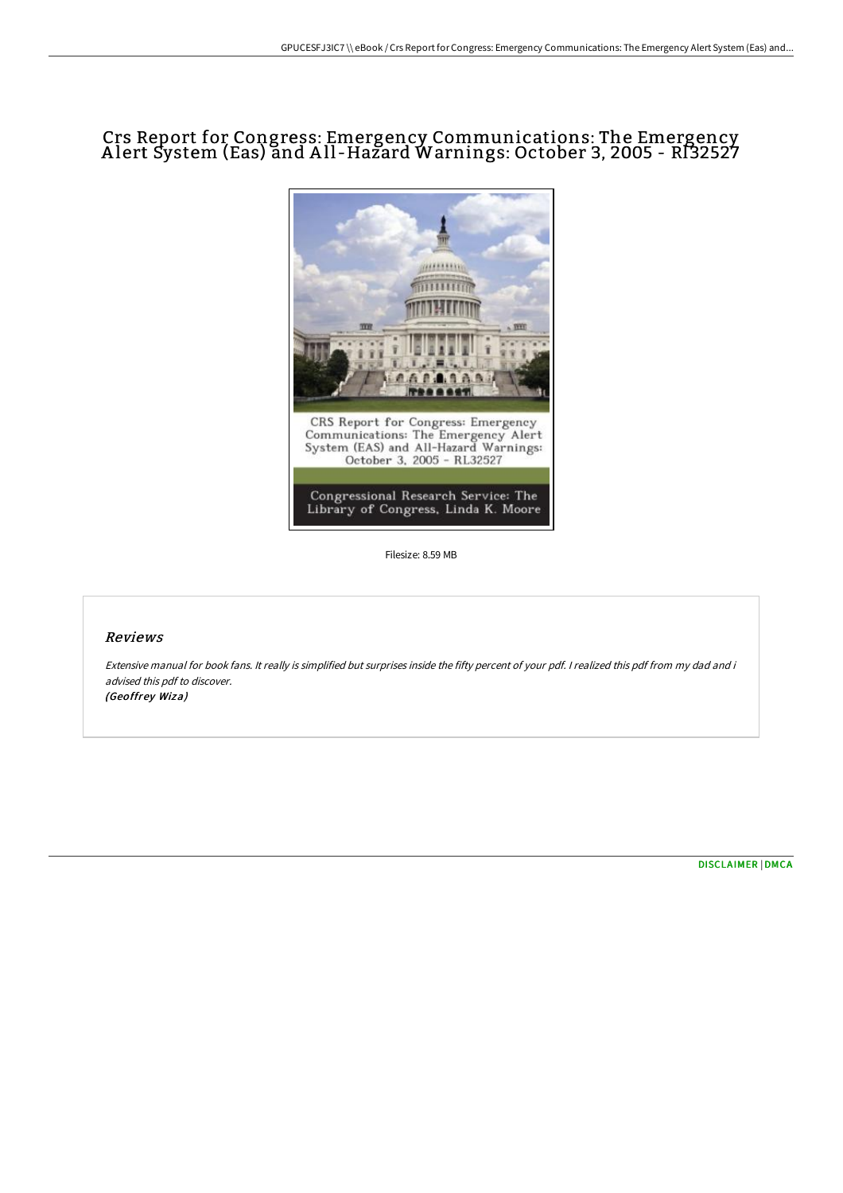## Crs Report for Congress: Emergency Communications: The Emergency A lert System (Eas) and A ll -Hazard Warnings: October 3, 2005 - Rl32527



Filesize: 8.59 MB

## Reviews

Extensive manual for book fans. It really is simplified but surprises inside the fifty percent of your pdf. I realized this pdf from my dad and i advised this pdf to discover. (Geoffrey Wiza)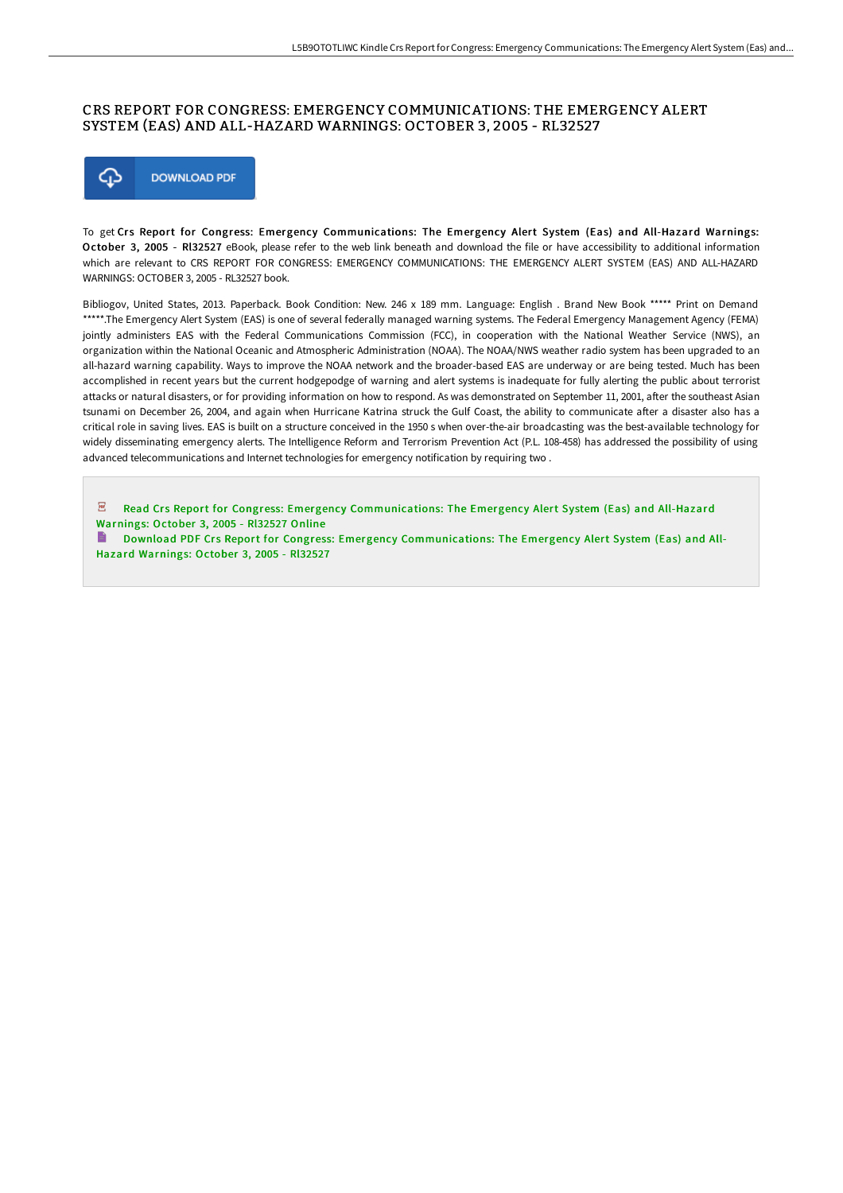## CRS REPORT FOR CONGRESS: EMERGENCY COMMUNICATIONS: THE EMERGENCY ALERT SYSTEM (EAS) AND ALL-HAZARD WARNINGS: OCTOBER 3, 2005 - RL32527



To get Crs Report for Congress: Emergency Communications: The Emergency Alert System (Eas) and All-Hazard Warnings: October 3, 2005 - Rl32527 eBook, please refer to the web link beneath and download the file or have accessibility to additional information which are relevant to CRS REPORT FOR CONGRESS: EMERGENCY COMMUNICATIONS: THE EMERGENCY ALERT SYSTEM (EAS) AND ALL-HAZARD WARNINGS: OCTOBER 3, 2005 - RL32527 book.

Bibliogov, United States, 2013. Paperback. Book Condition: New. 246 x 189 mm. Language: English . Brand New Book \*\*\*\*\* Print on Demand \*\*\*\*\*.The Emergency Alert System (EAS) is one of several federally managed warning systems. The Federal Emergency Management Agency (FEMA) jointly administers EAS with the Federal Communications Commission (FCC), in cooperation with the National Weather Service (NWS), an organization within the National Oceanic and Atmospheric Administration (NOAA). The NOAA/NWS weather radio system has been upgraded to an all-hazard warning capability. Ways to improve the NOAA network and the broader-based EAS are underway or are being tested. Much has been accomplished in recent years but the current hodgepodge of warning and alert systems is inadequate for fully alerting the public about terrorist attacks or natural disasters, or for providing information on how to respond. As was demonstrated on September 11, 2001, after the southeast Asian tsunami on December 26, 2004, and again when Hurricane Katrina struck the Gulf Coast, the ability to communicate after a disaster also has a critical role in saving lives. EAS is built on a structure conceived in the 1950 s when over-the-air broadcasting was the best-available technology for widely disseminating emergency alerts. The Intelligence Reform and Terrorism Prevention Act (P.L. 108-458) has addressed the possibility of using advanced telecommunications and Internet technologies for emergency notification by requiring two .

 $\overline{\mathbf{P}^{\mathbf{p}}}$ Read Crs Report for Congress: Emergency [Communications:](http://techno-pub.tech/crs-report-for-congress-emergency-communications-2.html) The Emergency Alert System (Eas) and All-Hazard Warnings: October 3, 2005 - Rl32527 Online

Download PDF Crs Report for Congress: Emergency [Communications:](http://techno-pub.tech/crs-report-for-congress-emergency-communications-2.html) The Emergency Alert System (Eas) and All-Hazard Warnings: October 3, 2005 - Rl32527